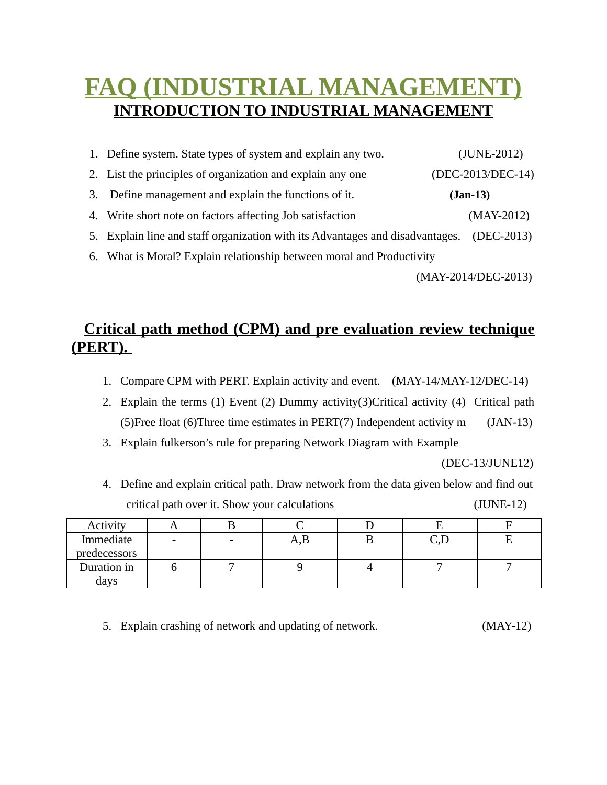## **FAQ (INDUSTRIAL MANAGEMENT) INTRODUCTION TO INDUSTRIAL MANAGEMENT**

|    | 1. Define system. State types of system and explain any two.                  |            | (JUNE-2012)       |
|----|-------------------------------------------------------------------------------|------------|-------------------|
|    | 2. List the principles of organization and explain any one                    |            | (DEC-2013/DEC-14) |
| 3. | Define management and explain the functions of it.                            | $(Jan-13)$ |                   |
|    | 4. Write short note on factors affecting Job satisfaction                     |            | $(MAY-2012)$      |
|    | 5. Explain line and staff organization with its Advantages and disadvantages. |            | $(DEC-2013)$      |
|    | 6. What is Moral? Explain relationship between moral and Productivity         |            |                   |

(MAY-2014/DEC-2013)

## **Critical path method (CPM) and pre evaluation review technique (PERT).**

- 1. Compare CPM with PERT. Explain activity and event. (MAY-14/MAY-12/DEC-14)
- 2. Explain the terms (1) Event (2) Dummy activity(3)Critical activity (4) Critical path (5)Free float (6)Three time estimates in PERT(7) Independent activity m (JAN-13)
- 3. Explain fulkerson's rule for preparing Network Diagram with Example

(DEC-13/JUNE12)

4. Define and explain critical path. Draw network from the data given below and find out critical path over it. Show your calculations (JUNE-12)

| Activity     |                          |                         |        |  |
|--------------|--------------------------|-------------------------|--------|--|
| Immediate    | $\overline{\phantom{a}}$ | $\mathbf{L},\mathbf{L}$ | لمدويت |  |
| predecessors |                          |                         |        |  |
| Duration in  |                          |                         |        |  |
| days         |                          |                         |        |  |

5. Explain crashing of network and updating of network. (MAY-12)